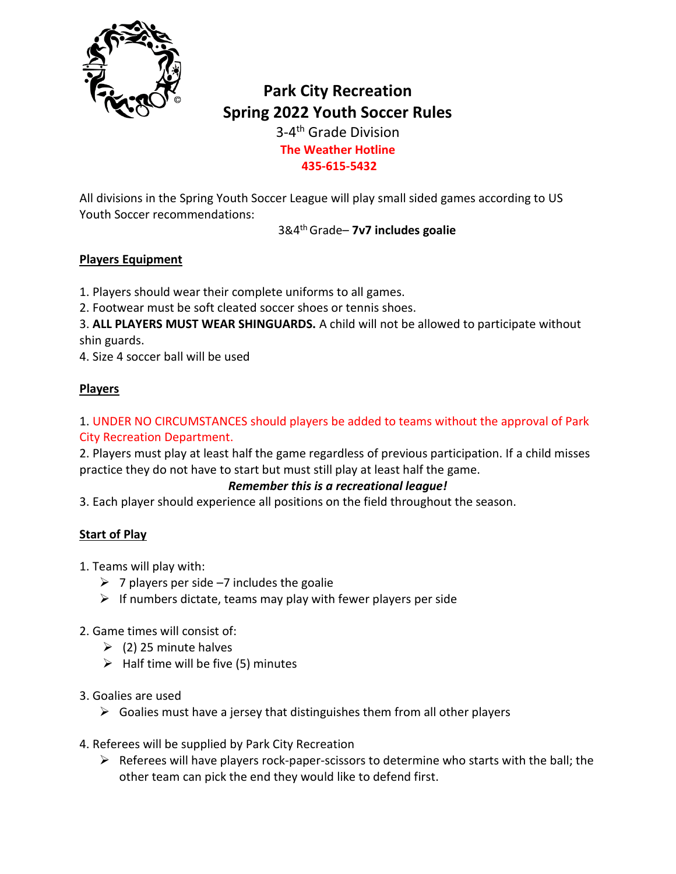

# **Park City Recreation Spring 2022 Youth Soccer Rules**

3-4 th Grade Division **The Weather Hotline 435-615-5432**

All divisions in the Spring Youth Soccer League will play small sided games according to US Youth Soccer recommendations:

3&4 th Grade– **7v7 includes goalie**

## **Players Equipment**

1. Players should wear their complete uniforms to all games.

2. Footwear must be soft cleated soccer shoes or tennis shoes.

3. **ALL PLAYERS MUST WEAR SHINGUARDS.** A child will not be allowed to participate without shin guards.

4. Size 4 soccer ball will be used

## **Players**

## 1. UNDER NO CIRCUMSTANCES should players be added to teams without the approval of Park City Recreation Department.

2. Players must play at least half the game regardless of previous participation. If a child misses practice they do not have to start but must still play at least half the game.

## *Remember this is a recreational league!*

3. Each player should experience all positions on the field throughout the season.

#### **Start of Play**

1. Teams will play with:

- $\geq 7$  players per side -7 includes the goalie
- $\triangleright$  If numbers dictate, teams may play with fewer players per side

## 2. Game times will consist of:

- $\geq$  (2) 25 minute halves
- $\triangleright$  Half time will be five (5) minutes

#### 3. Goalies are used

- $\triangleright$  Goalies must have a jersey that distinguishes them from all other players
- 4. Referees will be supplied by Park City Recreation
	- $\triangleright$  Referees will have players rock-paper-scissors to determine who starts with the ball; the other team can pick the end they would like to defend first.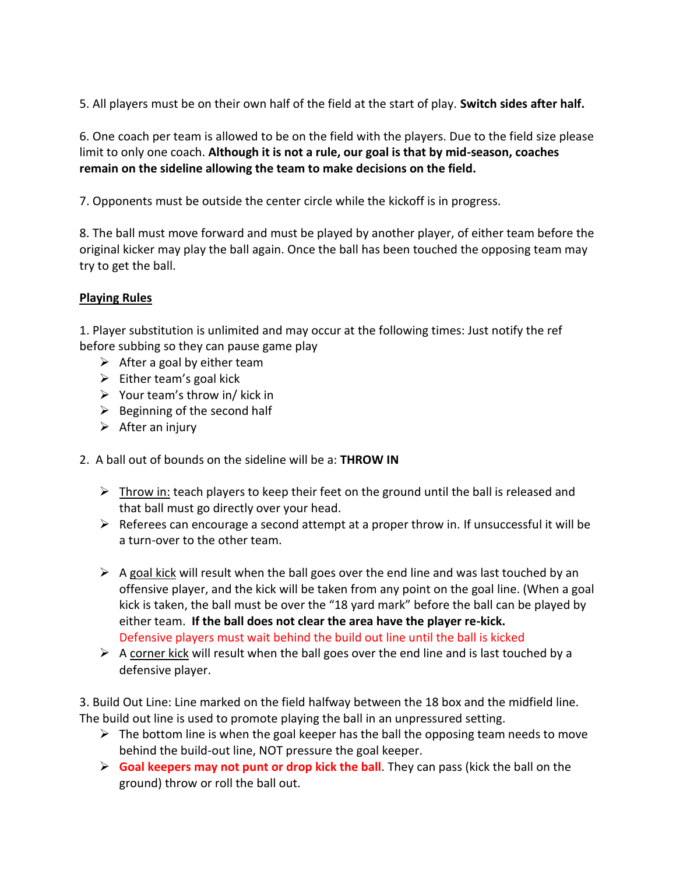5. All players must be on their own half of the field at the start of play. **Switch sides after half.**

6. One coach per team is allowed to be on the field with the players. Due to the field size please limit to only one coach. **Although it is not a rule, our goal is that by mid-season, coaches remain on the sideline allowing the team to make decisions on the field.**

7. Opponents must be outside the center circle while the kickoff is in progress.

8. The ball must move forward and must be played by another player, of either team before the original kicker may play the ball again. Once the ball has been touched the opposing team may try to get the ball.

#### **Playing Rules**

1. Player substitution is unlimited and may occur at the following times: Just notify the ref before subbing so they can pause game play

- $\triangleright$  After a goal by either team
- $\triangleright$  Either team's goal kick
- $\triangleright$  Your team's throw in/ kick in
- $\triangleright$  Beginning of the second half
- $\triangleright$  After an injury
- 2. A ball out of bounds on the sideline will be a: **THROW IN**
	- $\triangleright$  Throw in: teach players to keep their feet on the ground until the ball is released and that ball must go directly over your head.
	- $\triangleright$  Referees can encourage a second attempt at a proper throw in. If unsuccessful it will be a turn-over to the other team.
	- $\triangleright$  A goal kick will result when the ball goes over the end line and was last touched by an offensive player, and the kick will be taken from any point on the goal line. (When a goal kick is taken, the ball must be over the "18 yard mark" before the ball can be played by either team. **If the ball does not clear the area have the player re-kick.** Defensive players must wait behind the build out line until the ball is kicked
	- $\triangleright$  A corner kick will result when the ball goes over the end line and is last touched by a defensive player.

3. Build Out Line: Line marked on the field halfway between the 18 box and the midfield line. The build out line is used to promote playing the ball in an unpressured setting.

- $\triangleright$  The bottom line is when the goal keeper has the ball the opposing team needs to move behind the build-out line, NOT pressure the goal keeper.
- ➢ **Goal keepers may not punt or drop kick the ball**. They can pass (kick the ball on the ground) throw or roll the ball out.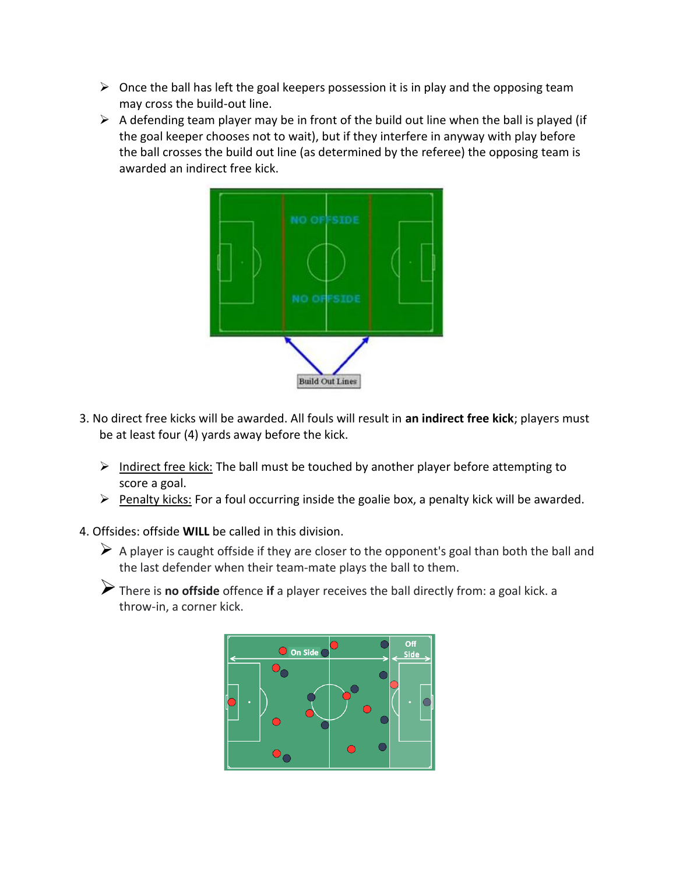- $\triangleright$  Once the ball has left the goal keepers possession it is in play and the opposing team may cross the build-out line.
- $\triangleright$  A defending team player may be in front of the build out line when the ball is played (if the goal keeper chooses not to wait), but if they interfere in anyway with play before the ball crosses the build out line (as determined by the referee) the opposing team is awarded an indirect free kick.



- 3. No direct free kicks will be awarded. All fouls will result in **an indirect free kick**; players must be at least four (4) yards away before the kick.
	- ➢ Indirect free kick: The ball must be touched by another player before attempting to score a goal.
	- ➢ Penalty kicks: For a foul occurring inside the goalie box, a penalty kick will be awarded.
- 4. Offsides: offside **WILL** be called in this division.
	- $\triangleright$  A player is caught offside if they are closer to the opponent's goal than both the ball and the last defender when their team-mate plays the ball to them.
	- ➢There is **no offside** offence **if** a player receives the ball directly from: a goal kick. a throw-in, a corner kick.